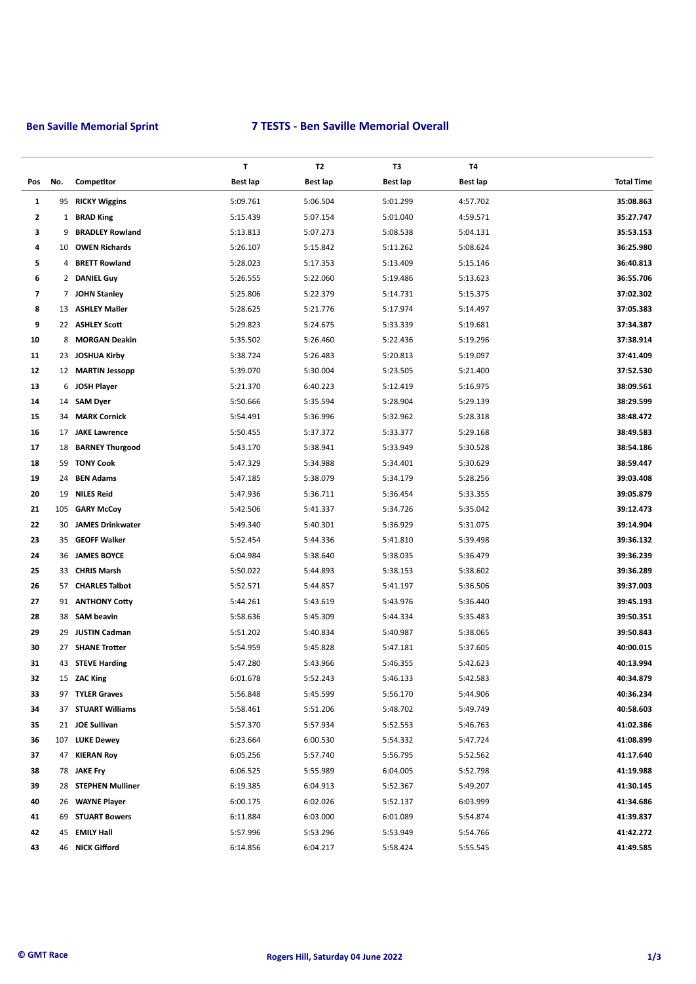# **Ben Saville Memorial Sprint 7 TESTS - Ben Saville Memorial Overall**

|                          |              |                         | T               | T2       | T3       | T4              |                   |
|--------------------------|--------------|-------------------------|-----------------|----------|----------|-----------------|-------------------|
| Pos                      | No.          | Competitor              | <b>Best lap</b> | Best lap | Best lap | <b>Best lap</b> | <b>Total Time</b> |
| 1                        | 95           | <b>RICKY Wiggins</b>    | 5:09.761        | 5:06.504 | 5:01.299 | 4:57.702        | 35:08.863         |
| $\overline{\mathbf{2}}$  | $\mathbf{1}$ | <b>BRAD King</b>        | 5:15.439        | 5:07.154 | 5:01.040 | 4:59.571        | 35:27.747         |
| 3                        | 9            | <b>BRADLEY Rowland</b>  | 5:13.813        | 5:07.273 | 5:08.538 | 5:04.131        | 35:53.153         |
| 4                        | 10           | <b>OWEN Richards</b>    | 5:26.107        | 5:15.842 | 5:11.262 | 5:08.624        | 36:25.980         |
| 5                        | 4            | <b>BRETT Rowland</b>    | 5:28.023        | 5:17.353 | 5:13.409 | 5:15.146        | 36:40.813         |
| 6                        |              | 2 DANIEL Guy            | 5:26.555        | 5:22.060 | 5:19.486 | 5:13.623        | 36:55.706         |
| $\overline{\phantom{a}}$ |              | 7 JOHN Stanley          | 5:25.806        | 5:22.379 | 5:14.731 | 5:15.375        | 37:02.302         |
| 8                        |              | 13 ASHLEY Maller        | 5:28.625        | 5:21.776 | 5:17.974 | 5:14.497        | 37:05.383         |
| 9                        |              | 22 ASHLEY Scott         | 5:29.823        | 5:24.675 | 5:33.339 | 5:19.681        | 37:34.387         |
| 10                       | 8            | <b>MORGAN Deakin</b>    | 5:35.502        | 5:26.460 | 5:22.436 | 5:19.296        | 37:38.914         |
| 11                       |              | 23 JOSHUA Kirby         | 5:38.724        | 5:26.483 | 5:20.813 | 5:19.097        | 37:41.409         |
| 12                       |              | 12 MARTIN Jessopp       | 5:39.070        | 5:30.004 | 5:23.505 | 5:21.400        | 37:52.530         |
| 13                       | 6            | JOSH Player             | 5:21.370        | 6:40.223 | 5:12.419 | 5:16.975        | 38:09.561         |
| 14                       | 14           | <b>SAM Dyer</b>         | 5:50.666        | 5:35.594 | 5:28.904 | 5:29.139        | 38:29.599         |
| 15                       | 34           | <b>MARK Cornick</b>     | 5:54.491        | 5:36.996 | 5:32.962 | 5:28.318        | 38:48.472         |
| 16                       |              | 17 JAKE Lawrence        | 5:50.455        | 5:37.372 | 5:33.377 | 5:29.168        | 38:49.583         |
| 17                       |              | 18 BARNEY Thurgood      | 5:43.170        | 5:38.941 | 5:33.949 | 5:30.528        | 38:54.186         |
| 18                       |              | 59 TONY Cook            | 5:47.329        | 5:34.988 | 5:34.401 | 5:30.629        | 38:59.447         |
| 19                       | 24           | <b>BEN Adams</b>        | 5:47.185        | 5:38.079 | 5:34.179 | 5:28.256        | 39:03.408         |
| 20                       | 19           | <b>NILES Reid</b>       | 5:47.936        | 5:36.711 | 5:36.454 | 5:33.355        | 39:05.879         |
| 21                       |              | 105 GARY McCoy          | 5:42.506        | 5:41.337 | 5:34.726 | 5:35.042        | 39:12.473         |
| 22                       | 30           | <b>JAMES Drinkwater</b> | 5:49.340        | 5:40.301 | 5:36.929 | 5:31.075        | 39:14.904         |
| 23                       |              | 35 GEOFF Walker         | 5:52.454        | 5:44.336 | 5:41.810 | 5:39.498        | 39:36.132         |
| 24                       |              | 36 JAMES BOYCE          | 6:04.984        | 5:38.640 | 5:38.035 | 5:36.479        | 39:36.239         |
| 25                       |              | 33 CHRIS Marsh          | 5:50.022        | 5:44.893 | 5:38.153 | 5:38.602        | 39:36.289         |
| 26                       |              | 57 CHARLES Talbot       | 5:52.571        | 5:44.857 | 5:41.197 | 5:36.506        | 39:37.003         |
| 27                       |              | 91 ANTHONY Cotty        | 5:44.261        | 5:43.619 | 5:43.976 | 5:36.440        | 39:45.193         |
| 28                       |              | 38 SAM beavin           | 5:58.636        | 5:45.309 | 5:44.334 | 5:35.483        | 39:50.351         |
| 29                       |              | 29 JUSTIN Cadman        | 5:51.202        | 5:40.834 | 5:40.987 | 5:38.065        | 39:50.843         |
| 30                       | 27           | <b>SHANE Trotter</b>    | 5:54.959        | 5:45.828 | 5:47.181 | 5:37.605        | 40:00.015         |
| 31                       |              | 43 STEVE Harding        | 5:47.280        | 5:43.966 | 5:46.355 | 5:42.623        | 40:13.994         |
| 32                       |              | 15 ZAC King             | 6:01.678        | 5:52.243 | 5:46.133 | 5:42.583        | 40:34.879         |
| 33                       |              | 97 TYLER Graves         | 5:56.848        | 5:45.599 | 5:56.170 | 5:44.906        | 40:36.234         |
| 34                       |              | 37 STUART Williams      | 5:58.461        | 5:51.206 | 5:48.702 | 5:49.749        | 40:58.603         |
| 35                       |              | 21 JOE Sullivan         | 5:57.370        | 5:57.934 | 5:52.553 | 5:46.763        | 41:02.386         |
| 36                       |              | 107 LUKE Dewey          | 6:23.664        | 6:00.530 | 5:54.332 | 5:47.724        | 41:08.899         |
| 37                       |              | 47 KIERAN Roy           | 6:05.256        | 5:57.740 | 5:56.795 | 5:52.562        | 41:17.640         |
| 38                       |              | 78 JAKE Fry             | 6:06.525        | 5:55.989 | 6:04.005 | 5:52.798        | 41:19.988         |
| 39                       |              | 28 STEPHEN Mulliner     | 6:19.385        | 6:04.913 | 5:52.367 | 5:49.207        | 41:30.145         |
| 40                       |              | 26 WAYNE Player         | 6:00.175        | 6:02.026 | 5:52.137 | 6:03.999        | 41:34.686         |
| 41                       |              | 69 STUART Bowers        | 6:11.884        | 6:03.000 | 6:01.089 | 5:54.874        | 41:39.837         |
| 42                       |              | 45 EMILY Hall           | 5:57.996        | 5:53.296 | 5:53.949 | 5:54.766        | 41:42.272         |
| 43                       |              | 46 NICK Gifford         | 6:14.856        | 6:04.217 | 5:58.424 | 5:55.545        | 41:49.585         |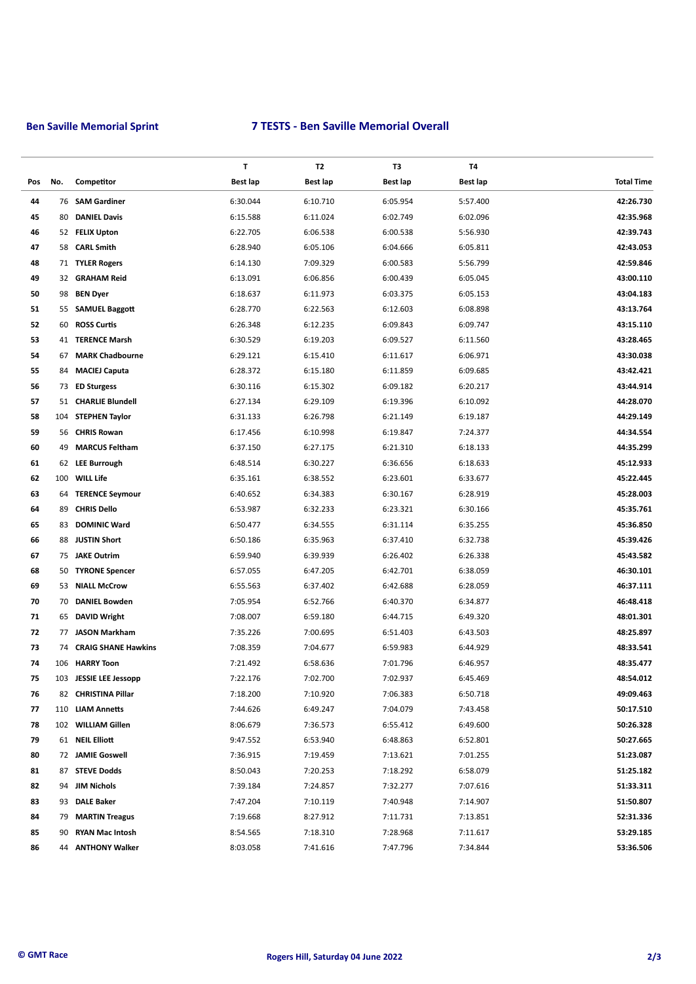# **Ben Saville Memorial Sprint 7 TESTS - Ben Saville Memorial Overall**

|     |     |                            | T        | <b>T2</b>       | T3       | T4       |                   |
|-----|-----|----------------------------|----------|-----------------|----------|----------|-------------------|
| Pos | No. | Competitor                 | Best lap | <b>Best lap</b> | Best lap | Best lap | <b>Total Time</b> |
| 44  |     | 76 SAM Gardiner            | 6:30.044 | 6:10.710        | 6:05.954 | 5:57.400 | 42:26.730         |
| 45  | 80  | <b>DANIEL Davis</b>        | 6:15.588 | 6:11.024        | 6:02.749 | 6:02.096 | 42:35.968         |
| 46  |     | 52 FELIX Upton             | 6:22.705 | 6:06.538        | 6:00.538 | 5:56.930 | 42:39.743         |
| 47  | 58  | <b>CARL Smith</b>          | 6:28.940 | 6:05.106        | 6:04.666 | 6:05.811 | 42:43.053         |
| 48  |     | 71 TYLER Rogers            | 6:14.130 | 7:09.329        | 6:00.583 | 5:56.799 | 42:59.846         |
| 49  |     | 32 GRAHAM Reid             | 6:13.091 | 6:06.856        | 6:00.439 | 6:05.045 | 43:00.110         |
| 50  |     | 98 BEN Dyer                | 6:18.637 | 6:11.973        | 6:03.375 | 6:05.153 | 43:04.183         |
| 51  |     | 55 SAMUEL Baggott          | 6:28.770 | 6:22.563        | 6:12.603 | 6:08.898 | 43:13.764         |
| 52  | 60  | <b>ROSS Curtis</b>         | 6:26.348 | 6:12.235        | 6:09.843 | 6:09.747 | 43:15.110         |
| 53  | 41  | <b>TERENCE Marsh</b>       | 6:30.529 | 6:19.203        | 6:09.527 | 6:11.560 | 43:28.465         |
| 54  | 67  | <b>MARK Chadbourne</b>     | 6:29.121 | 6:15.410        | 6:11.617 | 6:06.971 | 43:30.038         |
| 55  | 84  | <b>MACIEJ Caputa</b>       | 6:28.372 | 6:15.180        | 6:11.859 | 6:09.685 | 43:42.421         |
| 56  |     | 73 ED Sturgess             | 6:30.116 | 6:15.302        | 6:09.182 | 6:20.217 | 43:44.914         |
| 57  |     | 51 CHARLIE Blundell        | 6:27.134 | 6:29.109        | 6:19.396 | 6:10.092 | 44:28.070         |
| 58  | 104 | <b>STEPHEN Taylor</b>      | 6:31.133 | 6:26.798        | 6:21.149 | 6:19.187 | 44:29.149         |
| 59  | 56  | <b>CHRIS Rowan</b>         | 6:17.456 | 6:10.998        | 6:19.847 | 7:24.377 | 44:34.554         |
| 60  | 49  | <b>MARCUS Feltham</b>      | 6:37.150 | 6:27.175        | 6:21.310 | 6:18.133 | 44:35.299         |
| 61  |     | 62 LEE Burrough            | 6:48.514 | 6:30.227        | 6:36.656 | 6:18.633 | 45:12.933         |
| 62  | 100 | <b>WILL Life</b>           | 6:35.161 | 6:38.552        | 6:23.601 | 6:33.677 | 45:22.445         |
| 63  | 64  | <b>TERENCE Seymour</b>     | 6:40.652 | 6:34.383        | 6:30.167 | 6:28.919 | 45:28.003         |
| 64  | 89  | <b>CHRIS Dello</b>         | 6:53.987 | 6:32.233        | 6:23.321 | 6:30.166 | 45:35.761         |
| 65  | 83  | <b>DOMINIC Ward</b>        | 6:50.477 | 6:34.555        | 6:31.114 | 6:35.255 | 45:36.850         |
| 66  |     | 88 JUSTIN Short            |          |                 | 6:37.410 | 6:32.738 | 45:39.426         |
|     |     |                            | 6:50.186 | 6:35.963        |          |          | 45:43.582         |
| 67  |     | 75 JAKE Outrim             | 6:59.940 | 6:39.939        | 6:26.402 | 6:26.338 |                   |
| 68  | 50  | <b>TYRONE Spencer</b>      | 6:57.055 | 6:47.205        | 6:42.701 | 6:38.059 | 46:30.101         |
| 69  | 53  | <b>NIALL McCrow</b>        | 6:55.563 | 6:37.402        | 6:42.688 | 6:28.059 | 46:37.111         |
| 70  | 70  | <b>DANIEL Bowden</b>       | 7:05.954 | 6:52.766        | 6:40.370 | 6:34.877 | 46:48.418         |
| 71  | 65  | <b>DAVID Wright</b>        | 7:08.007 | 6:59.180        | 6:44.715 | 6:49.320 | 48:01.301         |
| 72  |     | 77 JASON Markham           | 7:35.226 | 7:00.695        | 6:51.403 | 6:43.503 | 48:25.897         |
| 73  | 74  | <b>CRAIG SHANE Hawkins</b> | 7:08.359 | 7:04.677        | 6:59.983 | 6:44.929 | 48:33.541         |
| 74  |     | 106 HARRY Toon             | 7:21.492 | 6:58.636        | 7:01.796 | 6:46.957 | 48:35.477         |
| 75  |     | 103 JESSIE LEE Jessopp     | 7:22.176 | 7:02.700        | 7:02.937 | 6:45.469 | 48:54.012         |
| 76  |     | 82 CHRISTINA Pillar        | 7:18.200 | 7:10.920        | 7:06.383 | 6:50.718 | 49:09.463         |
| 77  |     | 110 LIAM Annetts           | 7:44.626 | 6:49.247        | 7:04.079 | 7:43.458 | 50:17.510         |
| 78  |     | 102 WILLIAM Gillen         | 8:06.679 | 7:36.573        | 6:55.412 | 6:49.600 | 50:26.328         |
| 79  |     | 61 NEIL Elliott            | 9:47.552 | 6:53.940        | 6:48.863 | 6:52.801 | 50:27.665         |
| 80  |     | 72 JAMIE Goswell           | 7:36.915 | 7:19.459        | 7:13.621 | 7:01.255 | 51:23.087         |
| 81  |     | 87 STEVE Dodds             | 8:50.043 | 7:20.253        | 7:18.292 | 6:58.079 | 51:25.182         |
| 82  |     | 94 JIM Nichols             | 7:39.184 | 7:24.857        | 7:32.277 | 7:07.616 | 51:33.311         |
| 83  | 93  | <b>DALE Baker</b>          | 7:47.204 | 7:10.119        | 7:40.948 | 7:14.907 | 51:50.807         |
| 84  | 79  | <b>MARTIN Treagus</b>      | 7:19.668 | 8:27.912        | 7:11.731 | 7:13.851 | 52:31.336         |
| 85  | 90  | <b>RYAN Mac Intosh</b>     | 8:54.565 | 7:18.310        | 7:28.968 | 7:11.617 | 53:29.185         |
| 86  |     | 44 ANTHONY Walker          | 8:03.058 | 7:41.616        | 7:47.796 | 7:34.844 | 53:36.506         |